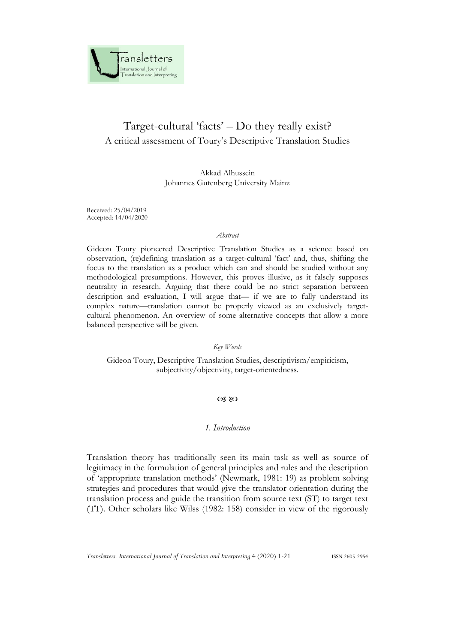

# Target-cultural 'facts' – Do they really exist? A critical assessment of Toury's Descriptive Translation Studies

Akkad Alhussein Johannes Gutenberg University Mainz

Received: 25/04/2019 Accepted: 14/04/2020

#### *Abstract*

Gideon Toury pioneered Descriptive Translation Studies as a science based on observation, (re)defining translation as a target-cultural 'fact' and, thus, shifting the focus to the translation as a product which can and should be studied without any methodological presumptions. However, this proves illusive, as it falsely supposes neutrality in research. Arguing that there could be no strict separation between description and evaluation, I will argue that— if we are to fully understand its complex nature—translation cannot be properly viewed as an exclusively targetcultural phenomenon. An overview of some alternative concepts that allow a more balanced perspective will be given.

*Key Words*

Gideon Toury, Descriptive Translation Studies, descriptivism/empiricism, subjectivity/objectivity, target-orientedness.

## $\alpha$   $\infty$

## *1. Introduction*

Translation theory has traditionally seen its main task as well as source of legitimacy in the formulation of general principles and rules and the description of 'appropriate translation methods' (Newmark, 1981: 19) as problem solving strategies and procedures that would give the translator orientation during the translation process and guide the transition from source text (ST) to target text (TT). Other scholars like Wilss (1982: 158) consider in view of the rigorously

*Transletters. International Journal of Translation and Interpreting* 4 (2020) 1-21 ISSN 2605-2954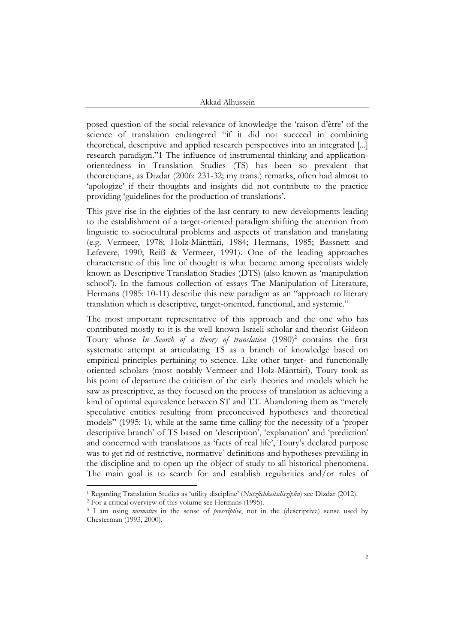posed question of the social relevance of knowledge the 'raison d'être' of the science of translation endangered "if it did not succeed in combining theoretical, descriptive and applied research perspectives into an integrated [...] research paradigm."1 The influence of instrumental thinking and applicationorientedness in Translation Studies (TS) has been so prevalent that theoreticians, as Dizdar (2006: 231-32; my trans.) remarks, often had almost to 'apologize' if their thoughts and insights did not contribute to the practice providing 'guidelines for the production of translations'.

This gave rise in the eighties of the last century to new developments leading to the establishment of a target-oriented paradigm shifting the attention from linguistic to sociocultural problems and aspects of translation and translating (e.g. Vermeer, 1978; Holz-Mänttäri, 1984; Hermans, 1985; Bassnett and Lefevere, 1990; Reiß & Vermeer, 1991). One of the leading approaches characteristic of this line of thought is what became among specialists widely known as Descriptive Translation Studies (DTS) (also known as 'manipulation school'). In the famous collection of essays The Manipulation of Literature, Hermans (1985: 10-11) describe this new paradigm as an "approach to literary translation which is descriptive, target-oriented, functional, and systemic."

The most important representative of this approach and the one who has contributed mostly to it is the well known Israeli scholar and theorist Gideon Toury whose In Search of a theory of translation (1980)<sup>2</sup> contains the first systematic attempt at articulating TS as a branch of knowledge based on empirical principles pertaining to science. Like other target- and functionally oriented scholars (most notably Vermeer and Holz-Mänttäri), Toury took as his point of departure the criticism of the early theories and models which he saw as prescriptive, as they focused on the process of translation as achieving a kind of optimal equivalence between ST and TT. Abandoning them as "merely speculative entities resulting from preconceived hypotheses and theoretical models" (1995: 1), while at the same time calling for the necessity of a 'proper descriptive branch' of TS based on 'description', 'explanation' and 'prediction' and concerned with translations as 'facts of real life', Toury's declared purpose was to get rid of restrictive, normative<sup>3</sup> definitions and hypotheses prevailing in the discipline and to open up the object of study to all historical phenomena. The main goal is to search for and establish regularities and/or rules of

<sup>1</sup> Regarding Translation Studies as 'utility discipline' (*Nützlichkeitsdisziplin*) see Dizdar (2012).

<sup>2</sup> For a critical overview of this volume see Hermans (1995).

<sup>3</sup> I am using *normative* in the sense of *prescriptive*, not in the (descriptive) sense used by Chesterman (1993, 2000).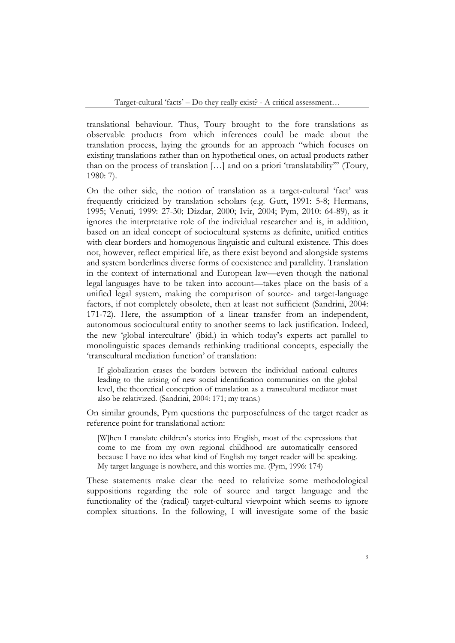translational behaviour. Thus, Toury brought to the fore translations as observable products from which inferences could be made about the translation process, laying the grounds for an approach "which focuses on existing translations rather than on hypothetical ones, on actual products rather than on the process of translation […] and on a priori 'translatability'" (Toury, 1980: 7).

On the other side, the notion of translation as a target-cultural 'fact' was frequently criticized by translation scholars (e.g. Gutt, 1991: 5-8; Hermans, 1995; Venuti, 1999: 27-30; Dizdar, 2000; Ivir, 2004; Pym, 2010: 64-89), as it ignores the interpretative role of the individual researcher and is, in addition, based on an ideal concept of sociocultural systems as definite, unified entities with clear borders and homogenous linguistic and cultural existence. This does not, however, reflect empirical life, as there exist beyond and alongside systems and system borderlines diverse forms of coexistence and parallelity. Translation in the context of international and European law—even though the national legal languages have to be taken into account—takes place on the basis of a unified legal system, making the comparison of source- and target-language factors, if not completely obsolete, then at least not sufficient (Sandrini, 2004: 171-72). Here, the assumption of a linear transfer from an independent, autonomous sociocultural entity to another seems to lack justification. Indeed, the new 'global interculture' (ibid.) in which today's experts act parallel to monolinguistic spaces demands rethinking traditional concepts, especially the 'transcultural mediation function' of translation:

If globalization erases the borders between the individual national cultures leading to the arising of new social identification communities on the global level, the theoretical conception of translation as a transcultural mediator must also be relativized. (Sandrini, 2004: 171; my trans.)

On similar grounds, Pym questions the purposefulness of the target reader as reference point for translational action:

[W]hen I translate children's stories into English, most of the expressions that come to me from my own regional childhood are automatically censored because I have no idea what kind of English my target reader will be speaking. My target language is nowhere, and this worries me. (Pym, 1996: 174)

These statements make clear the need to relativize some methodological suppositions regarding the role of source and target language and the functionality of the (radical) target-cultural viewpoint which seems to ignore complex situations. In the following, I will investigate some of the basic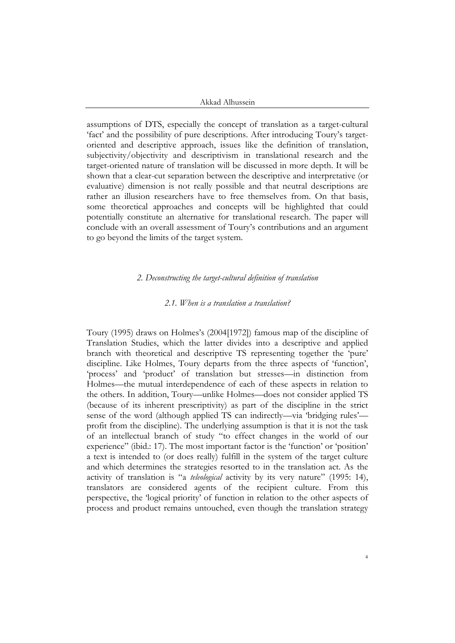assumptions of DTS, especially the concept of translation as a target-cultural 'fact' and the possibility of pure descriptions. After introducing Toury's targetoriented and descriptive approach, issues like the definition of translation, subjectivity/objectivity and descriptivism in translational research and the target-oriented nature of translation will be discussed in more depth. It will be shown that a clear-cut separation between the descriptive and interpretative (or evaluative) dimension is not really possible and that neutral descriptions are rather an illusion researchers have to free themselves from. On that basis, some theoretical approaches and concepts will be highlighted that could potentially constitute an alternative for translational research. The paper will conclude with an overall assessment of Toury's contributions and an argument to go beyond the limits of the target system.

### *2. Deconstructing the target-cultural definition of translation*

### *2.1. When is a translation a translation?*

Toury (1995) draws on Holmes's (2004[1972]) famous map of the discipline of Translation Studies, which the latter divides into a descriptive and applied branch with theoretical and descriptive TS representing together the 'pure' discipline. Like Holmes, Toury departs from the three aspects of 'function', 'process' and 'product' of translation but stresses—in distinction from Holmes—the mutual interdependence of each of these aspects in relation to the others. In addition, Toury—unlike Holmes—does not consider applied TS (because of its inherent prescriptivity) as part of the discipline in the strict sense of the word (although applied TS can indirectly—via 'bridging rules' profit from the discipline). The underlying assumption is that it is not the task of an intellectual branch of study "to effect changes in the world of our experience" (ibid.: 17). The most important factor is the 'function' or 'position' a text is intended to (or does really) fulfill in the system of the target culture and which determines the strategies resorted to in the translation act. As the activity of translation is "a *teleological* activity by its very nature" (1995: 14), translators are considered agents of the recipient culture. From this perspective, the 'logical priority' of function in relation to the other aspects of process and product remains untouched, even though the translation strategy

4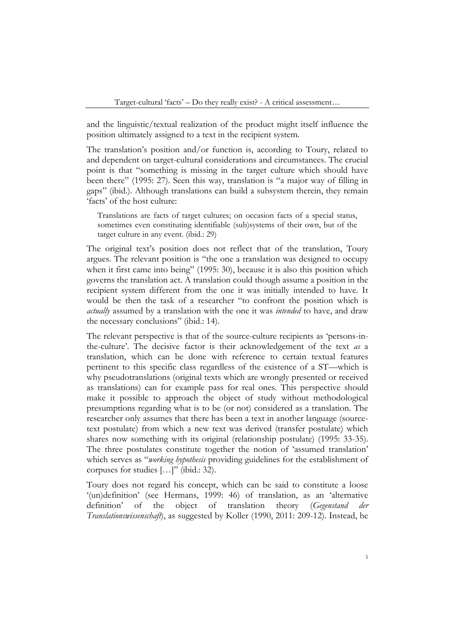and the linguistic/textual realization of the product might itself influence the position ultimately assigned to a text in the recipient system.

The translation's position and/or function is, according to Toury, related to and dependent on target-cultural considerations and circumstances. The crucial point is that "something is missing in the target culture which should have been there" (1995: 27). Seen this way, translation is "a major way of filling in gaps" (ibid.). Although translations can build a subsystem therein, they remain 'facts' of the host culture:

Translations are facts of target cultures; on occasion facts of a special status, sometimes even constituting identifiable (sub)systems of their own, but of the target culture in any event. (ibid.: 29)

The original text's position does not reflect that of the translation, Toury argues. The relevant position is "the one a translation was designed to occupy when it first came into being" (1995: 30), because it is also this position which governs the translation act. A translation could though assume a position in the recipient system different from the one it was initially intended to have. It would be then the task of a researcher "to confront the position which is *actually* assumed by a translation with the one it was *intended* to have, and draw the necessary conclusions" (ibid.: 14).

The relevant perspective is that of the source-culture recipients as 'persons-inthe-culture'. The decisive factor is their acknowledgement of the text *as* a translation, which can be done with reference to certain textual features pertinent to this specific class regardless of the existence of a ST—which is why pseudotranslations (original texts which are wrongly presented or received as translations) can for example pass for real ones. This perspective should make it possible to approach the object of study without methodological presumptions regarding what is to be (or not) considered as a translation. The researcher only assumes that there has been a text in another language (sourcetext postulate) from which a new text was derived (transfer postulate) which shares now something with its original (relationship postulate) (1995: 33-35). The three postulates constitute together the notion of 'assumed translation' which serves as "*working hypothesis* providing guidelines for the establishment of corpuses for studies […]" (ibid.: 32).

Toury does not regard his concept, which can be said to constitute a loose '(un)definition' (see Hermans, 1999: 46) of translation, as an 'alternative definition' of the object of translation theory (*Gegenstand der Translationswissenschaft*), as suggested by Koller (1990, 2011: 209-12). Instead, he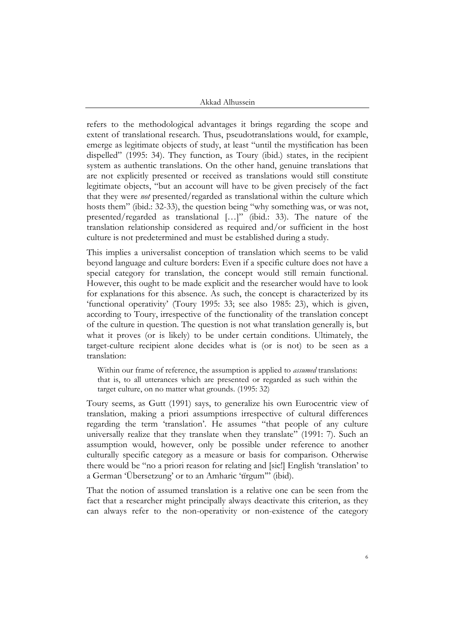refers to the methodological advantages it brings regarding the scope and extent of translational research. Thus, pseudotranslations would, for example, emerge as legitimate objects of study, at least "until the mystification has been dispelled" (1995: 34). They function, as Toury (ibid.) states, in the recipient system as authentic translations. On the other hand, genuine translations that are not explicitly presented or received as translations would still constitute legitimate objects, "but an account will have to be given precisely of the fact that they were *not* presented/regarded as translational within the culture which hosts them" (ibid.: 32-33), the question being "why something was, or was not, presented/regarded as translational […]" (ibid.: 33). The nature of the translation relationship considered as required and/or sufficient in the host culture is not predetermined and must be established during a study.

This implies a universalist conception of translation which seems to be valid beyond language and culture borders: Even if a specific culture does not have a special category for translation, the concept would still remain functional. However, this ought to be made explicit and the researcher would have to look for explanations for this absence. As such, the concept is characterized by its 'functional operativity' (Toury 1995: 33; see also 1985: 23), which is given, according to Toury, irrespective of the functionality of the translation concept of the culture in question. The question is not what translation generally is, but what it proves (or is likely) to be under certain conditions. Ultimately, the target-culture recipient alone decides what is (or is not) to be seen as a translation:

Within our frame of reference, the assumption is applied to *assumed* translations: that is, to all utterances which are presented or regarded as such within the target culture, on no matter what grounds. (1995: 32)

Toury seems, as Gutt (1991) says, to generalize his own Eurocentric view of translation, making a priori assumptions irrespective of cultural differences regarding the term 'translation'. He assumes "that people of any culture universally realize that they translate when they translate" (1991: 7). Such an assumption would, however, only be possible under reference to another culturally specific category as a measure or basis for comparison. Otherwise there would be "no a priori reason for relating and [sic!] English 'translation' to a German 'Übersetzung' or to an Amharic 'tïrgum'" (ibid).

That the notion of assumed translation is a relative one can be seen from the fact that a researcher might principally always deactivate this criterion, as they can always refer to the non-operativity or non-existence of the category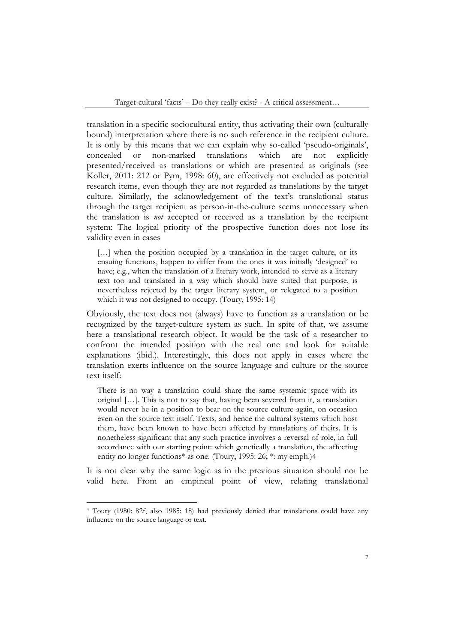translation in a specific sociocultural entity, thus activating their own (culturally bound) interpretation where there is no such reference in the recipient culture. It is only by this means that we can explain why so-called 'pseudo-originals', concealed or non-marked translations which are not explicitly presented/received as translations or which are presented as originals (see Koller, 2011: 212 or Pym, 1998: 60), are effectively not excluded as potential research items, even though they are not regarded as translations by the target culture. Similarly, the acknowledgement of the text's translational status through the target recipient as person-in-the-culture seems unnecessary when the translation is *not* accepted or received as a translation by the recipient system: The logical priority of the prospective function does not lose its validity even in cases

[...] when the position occupied by a translation in the target culture, or its ensuing functions, happen to differ from the ones it was initially 'designed' to have; e.g., when the translation of a literary work, intended to serve as a literary text too and translated in a way which should have suited that purpose, is nevertheless rejected by the target literary system, or relegated to a position which it was not designed to occupy. (Toury, 1995: 14)

Obviously, the text does not (always) have to function as a translation or be recognized by the target-culture system as such. In spite of that, we assume here a translational research object. It would be the task of a researcher to confront the intended position with the real one and look for suitable explanations (ibid.). Interestingly, this does not apply in cases where the translation exerts influence on the source language and culture or the source text itself:

There is no way a translation could share the same systemic space with its original […]. This is not to say that, having been severed from it, a translation would never be in a position to bear on the source culture again, on occasion even on the source text itself. Texts, and hence the cultural systems which host them, have been known to have been affected by translations of theirs. It is nonetheless significant that any such practice involves a reversal of role, in full accordance with our starting point: which genetically a translation, the affecting entity no longer functions\* as one. (Toury, 1995: 26; \*: my emph.)4

It is not clear why the same logic as in the previous situation should not be valid here. From an empirical point of view, relating translational

<sup>4</sup> Toury (1980: 82f, also 1985: 18) had previously denied that translations could have any influence on the source language or text.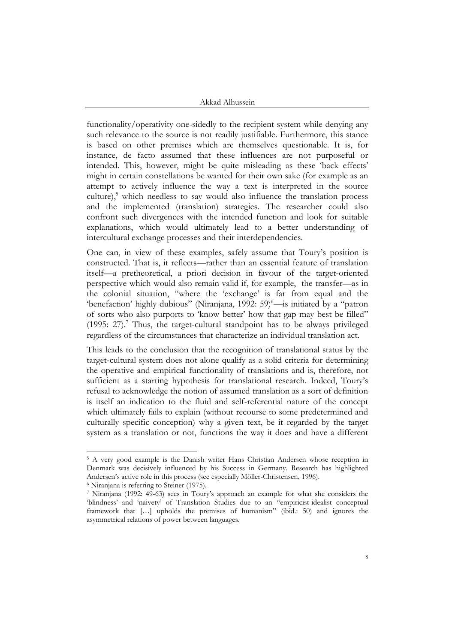functionality/operativity one-sidedly to the recipient system while denying any such relevance to the source is not readily justifiable. Furthermore, this stance is based on other premises which are themselves questionable. It is, for instance, de facto assumed that these influences are not purposeful or intended. This, however, might be quite misleading as these 'back effects' might in certain constellations be wanted for their own sake (for example as an attempt to actively influence the way a text is interpreted in the source culture), <sup>5</sup> which needless to say would also influence the translation process and the implemented (translation) strategies. The researcher could also confront such divergences with the intended function and look for suitable explanations, which would ultimately lead to a better understanding of intercultural exchange processes and their interdependencies.

One can, in view of these examples, safely assume that Toury's position is constructed. That is, it reflects—rather than an essential feature of translation itself—a pretheoretical, a priori decision in favour of the target-oriented perspective which would also remain valid if, for example, the transfer—as in the colonial situation, "where the 'exchange' is far from equal and the 'benefaction' highly dubious" (Niranjana, 1992: 59)<sup>6</sup>—is initiated by a "patron of sorts who also purports to 'know better' how that gap may best be filled" (1995: 27). <sup>7</sup> Thus, the target-cultural standpoint has to be always privileged regardless of the circumstances that characterize an individual translation act.

This leads to the conclusion that the recognition of translational status by the target-cultural system does not alone qualify as a solid criteria for determining the operative and empirical functionality of translations and is, therefore, not sufficient as a starting hypothesis for translational research. Indeed, Toury's refusal to acknowledge the notion of assumed translation as a sort of definition is itself an indication to the fluid and self-referential nature of the concept which ultimately fails to explain (without recourse to some predetermined and culturally specific conception) why a given text, be it regarded by the target system as a translation or not, functions the way it does and have a different

<sup>&</sup>lt;sup>5</sup> A very good example is the Danish writer Hans Christian Andersen whose reception in Denmark was decisively influenced by his Success in Germany. Research has highlighted Andersen's active role in this process (see especially Möller-Christensen, 1996).

<sup>6</sup> Niranjana is referring to Steiner (1975).

<sup>7</sup> Niranjana (1992: 49-63) sees in Toury's approach an example for what she considers the 'blindness' and 'naivety' of Translation Studies due to an "empiricist-idealist conceptual framework that […] upholds the premises of humanism" (ibid.: 50) and ignores the asymmetrical relations of power between languages.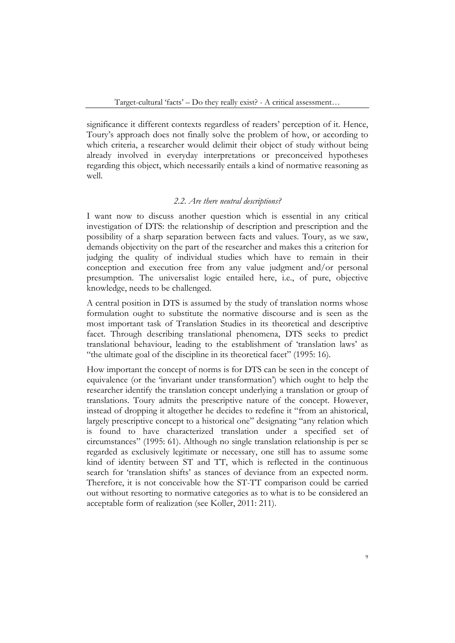significance it different contexts regardless of readers' perception of it. Hence, Toury's approach does not finally solve the problem of how, or according to which criteria, a researcher would delimit their object of study without being already involved in everyday interpretations or preconceived hypotheses regarding this object, which necessarily entails a kind of normative reasoning as well.

## *2.2. Are there neutral descriptions?*

I want now to discuss another question which is essential in any critical investigation of DTS: the relationship of description and prescription and the possibility of a sharp separation between facts and values. Toury, as we saw, demands objectivity on the part of the researcher and makes this a criterion for judging the quality of individual studies which have to remain in their conception and execution free from any value judgment and/or personal presumption. The universalist logic entailed here, i.e., of pure, objective knowledge, needs to be challenged.

A central position in DTS is assumed by the study of translation norms whose formulation ought to substitute the normative discourse and is seen as the most important task of Translation Studies in its theoretical and descriptive facet. Through describing translational phenomena, DTS seeks to predict translational behaviour, leading to the establishment of 'translation laws' as "the ultimate goal of the discipline in its theoretical facet" (1995: 16).

How important the concept of norms is for DTS can be seen in the concept of equivalence (or the 'invariant under transformation') which ought to help the researcher identify the translation concept underlying a translation or group of translations. Toury admits the prescriptive nature of the concept. However, instead of dropping it altogether he decides to redefine it "from an ahistorical, largely prescriptive concept to a historical one" designating "any relation which is found to have characterized translation under a specified set of circumstances" (1995: 61). Although no single translation relationship is per se regarded as exclusively legitimate or necessary, one still has to assume some kind of identity between ST and TT, which is reflected in the continuous search for 'translation shifts' as stances of deviance from an expected norm. Therefore, it is not conceivable how the ST-TT comparison could be carried out without resorting to normative categories as to what is to be considered an acceptable form of realization (see Koller, 2011: 211).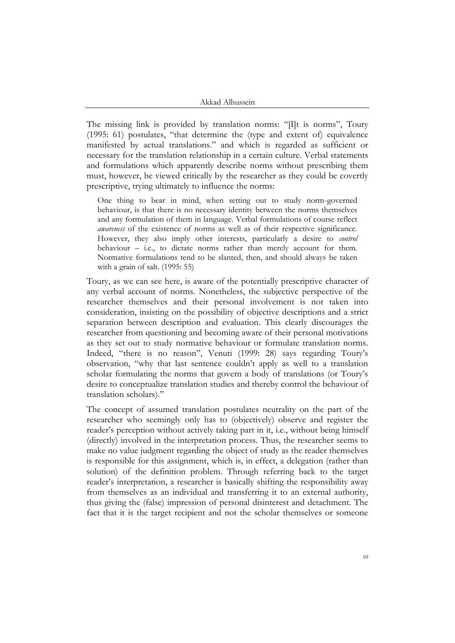The missing link is provided by translation norms: "[I]t is norms", Toury (1995: 61) postulates, "that determine the (type and extent of) equivalence manifested by actual translations." and which is regarded as sufficient or necessary for the translation relationship in a certain culture. Verbal statements and formulations which apparently describe norms without prescribing them must, however, be viewed critically by the researcher as they could be covertly prescriptive, trying ultimately to influence the norms:

One thing to bear in mind, when setting out to study norm-governed behaviour, is that there is no necessary identity between the norms themselves and any formulation of them in language. Verbal formulations of course reflect *awareness* of the existence of norms as well as of their respective significance. However, they also imply other interests, particularly a desire to *control* behaviour – i.e., to dictate norms rather than merely account for them. Normative formulations tend to be slanted, then, and should always be taken with a grain of salt. (1995: 55)

Toury, as we can see here, is aware of the potentially prescriptive character of any verbal account of norms. Nonetheless, the subjective perspective of the researcher themselves and their personal involvement is not taken into consideration, insisting on the possibility of objective descriptions and a strict separation between description and evaluation. This clearly discourages the researcher from questioning and becoming aware of their personal motivations as they set out to study normative behaviour or formulate translation norms. Indeed, "there is no reason", Venuti (1999: 28) says regarding Toury's observation, "why that last sentence couldn't apply as well to a translation scholar formulating the norms that govern a body of translations (or Toury's desire to conceptualize translation studies and thereby control the behaviour of translation scholars)."

The concept of assumed translation postulates neutrality on the part of the researcher who seemingly only has to (objectively) observe and register the reader's perception without actively taking part in it, i.e., without being himself (directly) involved in the interpretation process. Thus, the researcher seems to make no value judgment regarding the object of study as the reader themselves is responsible for this assignment, which is, in effect, a delegation (rather than solution) of the definition problem. Through referring back to the target reader's interpretation, a researcher is basically shifting the responsibility away from themselves as an individual and transferring it to an external authority, thus giving the (false) impression of personal disinterest and detachment. The fact that it is the target recipient and not the scholar themselves or someone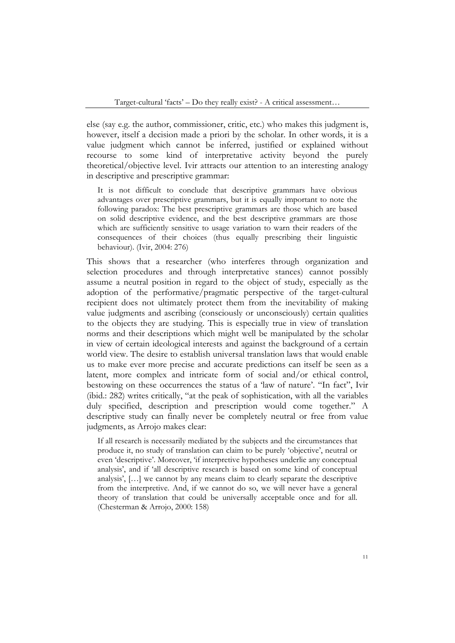else (say e.g. the author, commissioner, critic, etc.) who makes this judgment is, however, itself a decision made a priori by the scholar. In other words, it is a value judgment which cannot be inferred, justified or explained without recourse to some kind of interpretative activity beyond the purely theoretical/objective level. Ivir attracts our attention to an interesting analogy in descriptive and prescriptive grammar:

It is not difficult to conclude that descriptive grammars have obvious advantages over prescriptive grammars, but it is equally important to note the following paradox: The best prescriptive grammars are those which are based on solid descriptive evidence, and the best descriptive grammars are those which are sufficiently sensitive to usage variation to warn their readers of the consequences of their choices (thus equally prescribing their linguistic behaviour). (Ivir, 2004: 276)

This shows that a researcher (who interferes through organization and selection procedures and through interpretative stances) cannot possibly assume a neutral position in regard to the object of study, especially as the adoption of the performative/pragmatic perspective of the target-cultural recipient does not ultimately protect them from the inevitability of making value judgments and ascribing (consciously or unconsciously) certain qualities to the objects they are studying. This is especially true in view of translation norms and their descriptions which might well be manipulated by the scholar in view of certain ideological interests and against the background of a certain world view. The desire to establish universal translation laws that would enable us to make ever more precise and accurate predictions can itself be seen as a latent, more complex and intricate form of social and/or ethical control, bestowing on these occurrences the status of a 'law of nature'. "In fact", Ivir (ibid.: 282) writes critically, "at the peak of sophistication, with all the variables duly specified, description and prescription would come together." A descriptive study can finally never be completely neutral or free from value judgments, as Arrojo makes clear:

If all research is necessarily mediated by the subjects and the circumstances that produce it, no study of translation can claim to be purely 'objective', neutral or even 'descriptive'. Moreover, 'if interpretive hypotheses underlie any conceptual analysis', and if 'all descriptive research is based on some kind of conceptual analysis', […] we cannot by any means claim to clearly separate the descriptive from the interpretive. And, if we cannot do so, we will never have a general theory of translation that could be universally acceptable once and for all. (Chesterman & Arrojo, 2000: 158)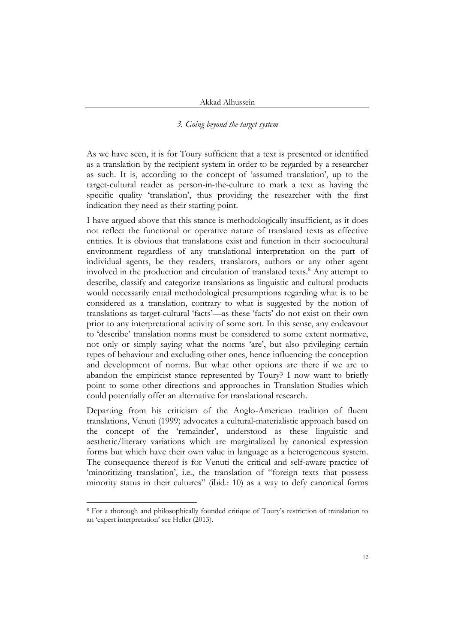## *3. Going beyond the target system*

As we have seen, it is for Toury sufficient that a text is presented or identified as a translation by the recipient system in order to be regarded by a researcher as such. It is, according to the concept of 'assumed translation', up to the target-cultural reader as person-in-the-culture to mark a text as having the specific quality 'translation', thus providing the researcher with the first indication they need as their starting point.

I have argued above that this stance is methodologically insufficient, as it does not reflect the functional or operative nature of translated texts as effective entities. It is obvious that translations exist and function in their sociocultural environment regardless of any translational interpretation on the part of individual agents, be they readers, translators, authors or any other agent involved in the production and circulation of translated texts. <sup>8</sup> Any attempt to describe, classify and categorize translations as linguistic and cultural products would necessarily entail methodological presumptions regarding what is to be considered as a translation, contrary to what is suggested by the notion of translations as target-cultural 'facts'—as these 'facts' do not exist on their own prior to any interpretational activity of some sort. In this sense, any endeavour to 'describe' translation norms must be considered to some extent normative, not only or simply saying what the norms 'are', but also privileging certain types of behaviour and excluding other ones, hence influencing the conception and development of norms. But what other options are there if we are to abandon the empiricist stance represented by Toury? I now want to briefly point to some other directions and approaches in Translation Studies which could potentially offer an alternative for translational research.

Departing from his criticism of the Anglo-American tradition of fluent translations, Venuti (1999) advocates a cultural-materialistic approach based on the concept of the 'remainder', understood as these linguistic and aesthetic/literary variations which are marginalized by canonical expression forms but which have their own value in language as a heterogeneous system. The consequence thereof is for Venuti the critical and self-aware practice of 'minoritizing translation', i.e., the translation of "foreign texts that possess minority status in their cultures" (ibid.: 10) as a way to defy canonical forms

<sup>8</sup> For a thorough and philosophically founded critique of Toury's restriction of translation to an 'expert interpretation' see Heller (2013).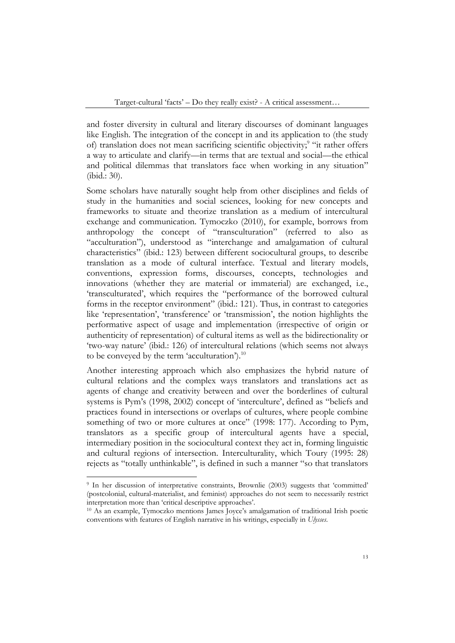and foster diversity in cultural and literary discourses of dominant languages like English. The integration of the concept in and its application to (the study of) translation does not mean sacrificing scientific objectivity;<sup>9</sup> "it rather offers a way to articulate and clarify—in terms that are textual and social—the ethical and political dilemmas that translators face when working in any situation" (ibid.: 30).

Some scholars have naturally sought help from other disciplines and fields of study in the humanities and social sciences, looking for new concepts and frameworks to situate and theorize translation as a medium of intercultural exchange and communication. Tymoczko (2010), for example, borrows from anthropology the concept of "transculturation" (referred to also as "acculturation"), understood as "interchange and amalgamation of cultural characteristics" (ibid.: 123) between different sociocultural groups, to describe translation as a mode of cultural interface. Textual and literary models, conventions, expression forms, discourses, concepts, technologies and innovations (whether they are material or immaterial) are exchanged, i.e., 'transculturated', which requires the "performance of the borrowed cultural forms in the receptor environment" (ibid.: 121). Thus, in contrast to categories like 'representation', 'transference' or 'transmission', the notion highlights the performative aspect of usage and implementation (irrespective of origin or authenticity of representation) of cultural items as well as the bidirectionality or 'two-way nature' (ibid.: 126) of intercultural relations (which seems not always to be conveyed by the term 'acculturation').<sup>10</sup>

Another interesting approach which also emphasizes the hybrid nature of cultural relations and the complex ways translators and translations act as agents of change and creativity between and over the borderlines of cultural systems is Pym's (1998, 2002) concept of 'interculture', defined as "beliefs and practices found in intersections or overlaps of cultures, where people combine something of two or more cultures at once" (1998: 177). According to Pym, translators as a specific group of intercultural agents have a special, intermediary position in the sociocultural context they act in, forming linguistic and cultural regions of intersection. Interculturality, which Toury (1995: 28) rejects as "totally unthinkable", is defined in such a manner "so that translators

<sup>9</sup> In her discussion of interpretative constraints, Brownlie (2003) suggests that 'committed' (postcolonial, cultural-materialist, and feminist) approaches do not seem to necessarily restrict interpretation more than 'critical descriptive approaches'.

<sup>10</sup> As an example, Tymoczko mentions James Joyce's amalgamation of traditional Irish poetic conventions with features of English narrative in his writings, especially in *Ulysses*.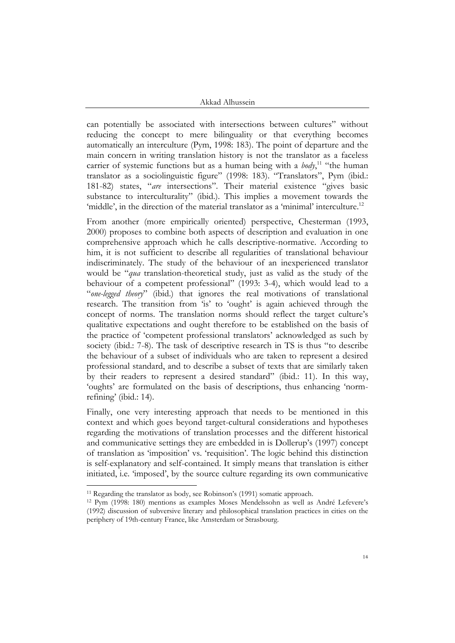can potentially be associated with intersections between cultures" without reducing the concept to mere bilinguality or that everything becomes automatically an interculture (Pym, 1998: 183). The point of departure and the main concern in writing translation history is not the translator as a faceless carrier of systemic functions but as a human being with a *body*,<sup>11</sup> "the human translator as a sociolinguistic figure" (1998: 183). "Translators", Pym (ibid.: 181-82) states, "*are* intersections". Their material existence "gives basic substance to interculturality" (ibid.). This implies a movement towards the 'middle', in the direction of the material translator as a 'minimal' interculture.<sup>12</sup>

From another (more empirically oriented) perspective, Chesterman (1993, 2000) proposes to combine both aspects of description and evaluation in one comprehensive approach which he calls descriptive-normative. According to him, it is not sufficient to describe all regularities of translational behaviour indiscriminately. The study of the behaviour of an inexperienced translator would be "*qua* translation-theoretical study, just as valid as the study of the behaviour of a competent professional" (1993: 3-4), which would lead to a "*one-legged theory*" (ibid.) that ignores the real motivations of translational research. The transition from 'is' to 'ought' is again achieved through the concept of norms. The translation norms should reflect the target culture's qualitative expectations and ought therefore to be established on the basis of the practice of 'competent professional translators' acknowledged as such by society (ibid.: 7-8). The task of descriptive research in TS is thus "to describe the behaviour of a subset of individuals who are taken to represent a desired professional standard, and to describe a subset of texts that are similarly taken by their readers to represent a desired standard" (ibid.: 11). In this way, 'oughts' are formulated on the basis of descriptions, thus enhancing 'normrefining' (ibid.: 14).

Finally, one very interesting approach that needs to be mentioned in this context and which goes beyond target-cultural considerations and hypotheses regarding the motivations of translation processes and the different historical and communicative settings they are embedded in is Dollerup's (1997) concept of translation as 'imposition' vs. 'requisition'. The logic behind this distinction is self-explanatory and self-contained. It simply means that translation is either initiated, i.e. 'imposed', by the source culture regarding its own communicative

<sup>11</sup> Regarding the translator as body, see Robinson's (1991) somatic approach.

<sup>12</sup> Pym (1998: 180) mentions as examples Moses Mendelssohn as well as André Lefevere's (1992) discussion of subversive literary and philosophical translation practices in cities on the periphery of 19th-century France, like Amsterdam or Strasbourg.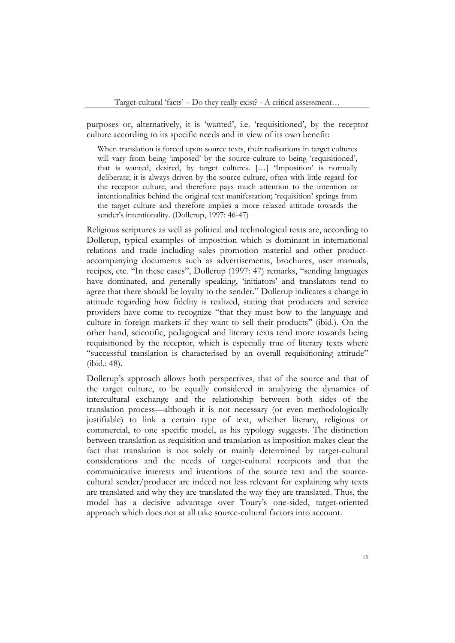purposes or, alternatively, it is 'wanted', i.e. 'requisitioned', by the receptor culture according to its specific needs and in view of its own benefit:

When translation is forced upon source texts, their realisations in target cultures will vary from being 'imposed' by the source culture to being 'requisitioned', that is wanted, desired, by target cultures. […] 'Imposition' is normally deliberate; it is always driven by the source culture, often with little regard for the receptor culture, and therefore pays much attention to the intention or intentionalities behind the original text manifestation; 'requisition' springs from the target culture and therefore implies a more relaxed attitude towards the sender's intentionality. (Dollerup, 1997: 46-47)

Religious scriptures as well as political and technological texts are, according to Dollerup, typical examples of imposition which is dominant in international relations and trade including sales promotion material and other productaccompanying documents such as advertisements, brochures, user manuals, recipes, etc. "In these cases", Dollerup (1997: 47) remarks, "sending languages have dominated, and generally speaking, 'initiators' and translators tend to agree that there should be loyalty to the sender." Dollerup indicates a change in attitude regarding how fidelity is realized, stating that producers and service providers have come to recognize "that they must bow to the language and culture in foreign markets if they want to sell their products" (ibid.). On the other hand, scientific, pedagogical and literary texts tend more towards being requisitioned by the receptor, which is especially true of literary texts where "successful translation is characterised by an overall requisitioning attitude" (ibid.: 48).

Dollerup's approach allows both perspectives, that of the source and that of the target culture, to be equally considered in analyzing the dynamics of intercultural exchange and the relationship between both sides of the translation process—although it is not necessary (or even methodologically justifiable) to link a certain type of text, whether literary, religious or commercial, to one specific model, as his typology suggests. The distinction between translation as requisition and translation as imposition makes clear the fact that translation is not solely or mainly determined by target-cultural considerations and the needs of target-cultural recipients and that the communicative interests and intentions of the source text and the sourcecultural sender/producer are indeed not less relevant for explaining why texts are translated and why they are translated the way they are translated. Thus, the model has a decisive advantage over Toury's one-sided, target-oriented approach which does not at all take source-cultural factors into account.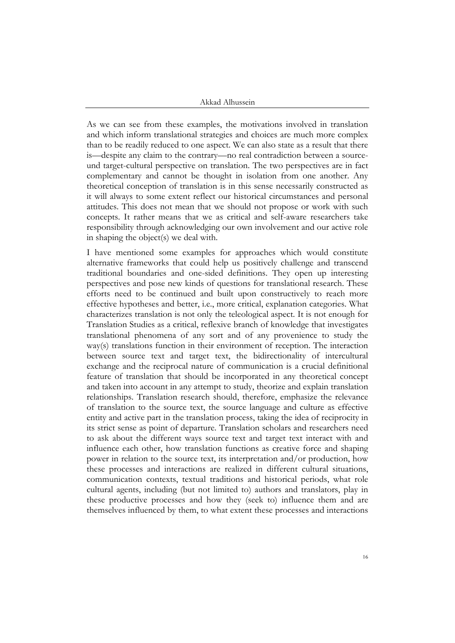As we can see from these examples, the motivations involved in translation and which inform translational strategies and choices are much more complex than to be readily reduced to one aspect. We can also state as a result that there is—despite any claim to the contrary—no real contradiction between a sourceund target-cultural perspective on translation. The two perspectives are in fact complementary and cannot be thought in isolation from one another. Any theoretical conception of translation is in this sense necessarily constructed as it will always to some extent reflect our historical circumstances and personal attitudes. This does not mean that we should not propose or work with such concepts. It rather means that we as critical and self-aware researchers take responsibility through acknowledging our own involvement and our active role in shaping the object(s) we deal with.

I have mentioned some examples for approaches which would constitute alternative frameworks that could help us positively challenge and transcend traditional boundaries and one-sided definitions. They open up interesting perspectives and pose new kinds of questions for translational research. These efforts need to be continued and built upon constructively to reach more effective hypotheses and better, i.e., more critical, explanation categories. What characterizes translation is not only the teleological aspect. It is not enough for Translation Studies as a critical, reflexive branch of knowledge that investigates translational phenomena of any sort and of any provenience to study the way(s) translations function in their environment of reception. The interaction between source text and target text, the bidirectionality of intercultural exchange and the reciprocal nature of communication is a crucial definitional feature of translation that should be incorporated in any theoretical concept and taken into account in any attempt to study, theorize and explain translation relationships. Translation research should, therefore, emphasize the relevance of translation to the source text, the source language and culture as effective entity and active part in the translation process, taking the idea of reciprocity in its strict sense as point of departure. Translation scholars and researchers need to ask about the different ways source text and target text interact with and influence each other, how translation functions as creative force and shaping power in relation to the source text, its interpretation and/or production, how these processes and interactions are realized in different cultural situations, communication contexts, textual traditions and historical periods, what role cultural agents, including (but not limited to) authors and translators, play in these productive processes and how they (seek to) influence them and are themselves influenced by them, to what extent these processes and interactions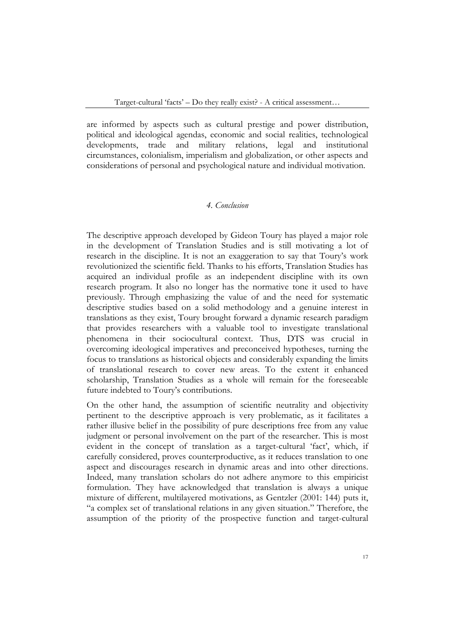are informed by aspects such as cultural prestige and power distribution, political and ideological agendas, economic and social realities, technological developments, trade and military relations, legal and institutional circumstances, colonialism, imperialism and globalization, or other aspects and considerations of personal and psychological nature and individual motivation.

## *4. Conclusion*

The descriptive approach developed by Gideon Toury has played a major role in the development of Translation Studies and is still motivating a lot of research in the discipline. It is not an exaggeration to say that Toury's work revolutionized the scientific field. Thanks to his efforts, Translation Studies has acquired an individual profile as an independent discipline with its own research program. It also no longer has the normative tone it used to have previously. Through emphasizing the value of and the need for systematic descriptive studies based on a solid methodology and a genuine interest in translations as they exist, Toury brought forward a dynamic research paradigm that provides researchers with a valuable tool to investigate translational phenomena in their sociocultural context. Thus, DTS was crucial in overcoming ideological imperatives and preconceived hypotheses, turning the focus to translations as historical objects and considerably expanding the limits of translational research to cover new areas. To the extent it enhanced scholarship, Translation Studies as a whole will remain for the foreseeable future indebted to Toury's contributions.

On the other hand, the assumption of scientific neutrality and objectivity pertinent to the descriptive approach is very problematic, as it facilitates a rather illusive belief in the possibility of pure descriptions free from any value judgment or personal involvement on the part of the researcher. This is most evident in the concept of translation as a target-cultural 'fact', which, if carefully considered, proves counterproductive, as it reduces translation to one aspect and discourages research in dynamic areas and into other directions. Indeed, many translation scholars do not adhere anymore to this empiricist formulation. They have acknowledged that translation is always a unique mixture of different, multilayered motivations, as Gentzler (2001: 144) puts it, "a complex set of translational relations in any given situation." Therefore, the assumption of the priority of the prospective function and target-cultural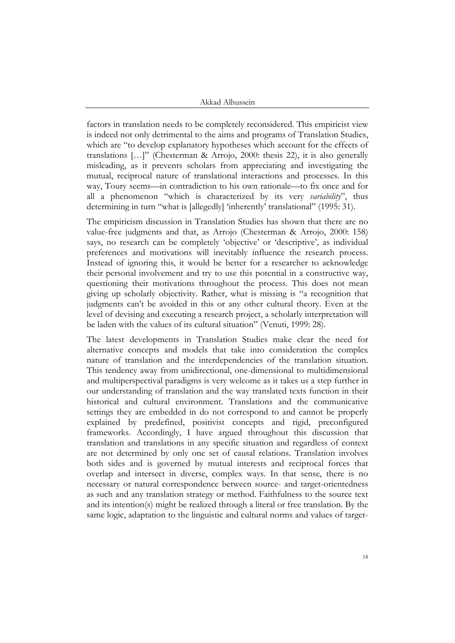factors in translation needs to be completely reconsidered. This empiricist view is indeed not only detrimental to the aims and programs of Translation Studies, which are "to develop explanatory hypotheses which account for the effects of translations […]" (Chesterman & Arrojo, 2000: thesis 22), it is also generally misleading, as it prevents scholars from appreciating and investigating the mutual, reciprocal nature of translational interactions and processes. In this way, Toury seems—in contradiction to his own rationale—to fix once and for all a phenomenon "which is characterized by its very *variability*", thus determining in turn "what is [allegedly] 'inherently' translational" (1995: 31).

The empiricism discussion in Translation Studies has shown that there are no value-free judgments and that, as Arrojo (Chesterman & Arrojo, 2000: 158) says, no research can be completely 'objective' or 'descriptive', as individual preferences and motivations will inevitably influence the research process. Instead of ignoring this, it would be better for a researcher to acknowledge their personal involvement and try to use this potential in a constructive way, questioning their motivations throughout the process. This does not mean giving up scholarly objectivity. Rather, what is missing is "a recognition that judgments can't be avoided in this or any other cultural theory. Even at the level of devising and executing a research project, a scholarly interpretation will be laden with the values of its cultural situation" (Venuti, 1999: 28).

The latest developments in Translation Studies make clear the need for alternative concepts and models that take into consideration the complex nature of translation and the interdependencies of the translation situation. This tendency away from unidirectional, one-dimensional to multidimensional and multiperspectival paradigms is very welcome as it takes us a step further in our understanding of translation and the way translated texts function in their historical and cultural environment. Translations and the communicative settings they are embedded in do not correspond to and cannot be properly explained by predefined, positivist concepts and rigid, preconfigured frameworks. Accordingly, I have argued throughout this discussion that translation and translations in any specific situation and regardless of context are not determined by only one set of causal relations. Translation involves both sides and is governed by mutual interests and reciprocal forces that overlap and intersect in diverse, complex ways. In that sense, there is no necessary or natural correspondence between source- and target-orientedness as such and any translation strategy or method. Faithfulness to the source text and its intention(s) might be realized through a literal or free translation. By the same logic, adaptation to the linguistic and cultural norms and values of target-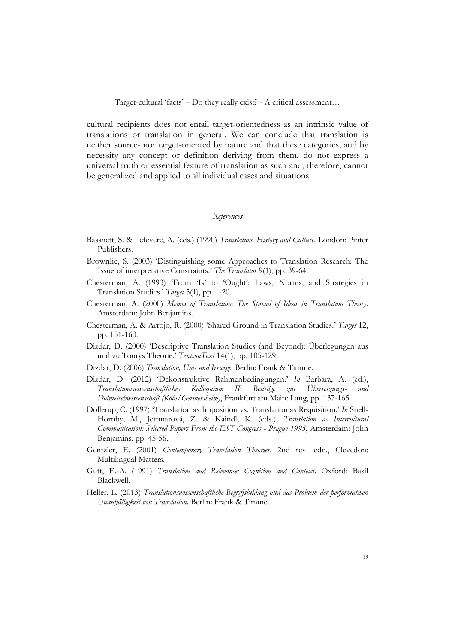cultural recipients does not entail target-orientedness as an intrinsic value of translations or translation in general. We can conclude that translation is neither source- nor target-oriented by nature and that these categories, and by necessity any concept or definition deriving from them, do not express a universal truth or essential feature of translation as such and, therefore, cannot be generalized and applied to all individual cases and situations.

### *References*

- Bassnett, S. & Lefevere, A. (eds.) (1990) *Translation, History and Culture*. London: Pinter Publishers.
- Brownlie, S. (2003) 'Distinguishing some Approaches to Translation Research: The Issue of interpretative Constraints.' *The Translator* 9(1), pp. 39-64.
- Chesterman, A. (1993) 'From 'Is' to 'Ought': Laws, Norms, and Strategies in Translation Studies.' *Target* 5(1), pp. 1-20.
- Chesterman, A. (2000) *Memes of Translation: The Spread of Ideas in Translation Theory*. Amsterdam: John Benjamins.
- Chesterman, A. & Arrojo, R. (2000) 'Shared Ground in Translation Studies.' *Target* 12, pp. 151-160.
- Dizdar, D. (2000) 'Descriptive Translation Studies (and Beyond): Überlegungen aus und zu Tourys Theorie.' *TextconText* 14(1), pp. 105-129.
- Dizdar, D. (2006) *Translation, Um- und Irrwege*. Berlin: Frank & Timme.
- Dizdar, D. (2012) 'Dekonstruktive Rahmenbedingungen.' *In* Barbara, A. (ed.), *Translationswissenschaftliches Kolloquium II: Beiträge zur Übersetzungs- und Dolmetschwissenschaft (Köln/Germersheim)*, Frankfurt am Main: Lang, pp. 137-165.
- Dollerup, C. (1997) 'Translation as Imposition vs. Translation as Requisition.' *In* Snell-Hornby, M., Jettmarová, Z. & Kaindl, K. (eds.), *Translation as Intercultural Communication: Selected Papers From the EST Congress - Prague 1995*, Amsterdam: John Benjamins, pp. 45-56.
- Gentzler, E. (2001) *Contemporary Translation Theories*. 2nd rev. edn., Clevedon: Multilingual Matters.
- Gutt, E.-A. (1991) *Translation and Relevance: Cognition and Context*. Oxford: Basil Blackwell.
- Heller, L. (2013) *Translationswissenschaftliche Begriffsbildung und das Problem der performativen Unauffälligkeit von Translation*. Berlin: Frank & Timme.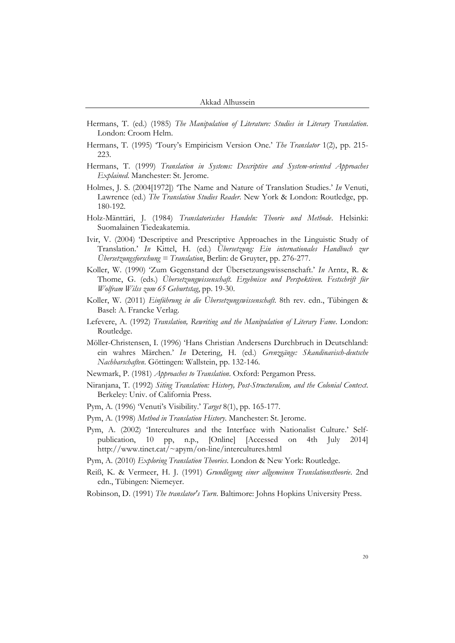- Hermans, T. (ed.) (1985) *The Manipulation of Literature: Studies in Literary Translation*. London: Croom Helm.
- Hermans, T. (1995) 'Toury's Empiricism Version One.' *The Translator* 1(2), pp. 215- 223.
- Hermans, T. (1999) *Translation in Systems: Descriptive and System-oriented Approaches Explained*. Manchester: St. Jerome.
- Holmes, J. S. (2004[1972]) 'The Name and Nature of Translation Studies.' *In* Venuti, Lawrence (ed.) *The Translation Studies Reader*. New York & London: Routledge, pp. 180-192.
- Holz-Mänttäri, J. (1984) *Translatorisches Handeln: Theorie und Methode*. Helsinki: Suomalainen Tiedeakatemia.
- Ivir, V. (2004) 'Descriptive and Prescriptive Approaches in the Linguistic Study of Translation.' *In* Kittel, H. (ed.) *Übersetzung: Ein internationales Handbuch zur Übersetzungsforschung = Translation*, Berlin: de Gruyter, pp. 276-277.
- Koller, W. (1990) 'Zum Gegenstand der Übersetzungswissenschaft.' *In* Arntz, R. & Thome, G. (eds.) *Übersetzungwissenschaft. Ergebnisse und Perspektiven. Festschrift für Wolfram Wilss zum 65 Geburtstag*, pp. 19-30.
- Koller, W. (2011) *Einführung in die Übersetzungswissenschaft*. 8th rev. edn., Tübingen & Basel: A. Francke Verlag.
- Lefevere, A. (1992) *Translation, Rewriting and the Manipulation of Literary Fame*. London: Routledge.
- Möller-Christensen, I. (1996) 'Hans Christian Andersens Durchbruch in Deutschland: ein wahres Märchen.' *In* Detering, H. (ed.) *Grenzgänge: Skandinavisch-deutsche Nachbarschaften*. Göttingen: Wallstein, pp. 132-146.
- Newmark, P. (1981) *Approaches to Translation*. Oxford: Pergamon Press.
- Niranjana, T. (1992) *Siting Translation: History, Post-Structuralism, and the Colonial Context*. Berkeley: Univ. of California Press.
- Pym, A. (1996) 'Venuti's Visibility.' *Target* 8(1), pp. 165-177.
- Pym, A. (1998) *Method in Translation History*. Manchester: St. Jerome.
- Pym, A. (2002) 'Intercultures and the Interface with Nationalist Culture.' Selfpublication, 10 pp, n.p., [Online] [Accessed on 4th July 2014] http://www.tinet.cat/~apym/on-line/intercultures.html
- Pym, A. (2010) *Exploring Translation Theories*. London & New York: Routledge.
- Reiß, K. & Vermeer, H. J. (1991) *Grundlegung einer allgemeinen Translationstheorie*. 2nd edn., Tübingen: Niemeyer.
- Robinson, D. (1991) *The translator's Turn*. Baltimore: Johns Hopkins University Press.